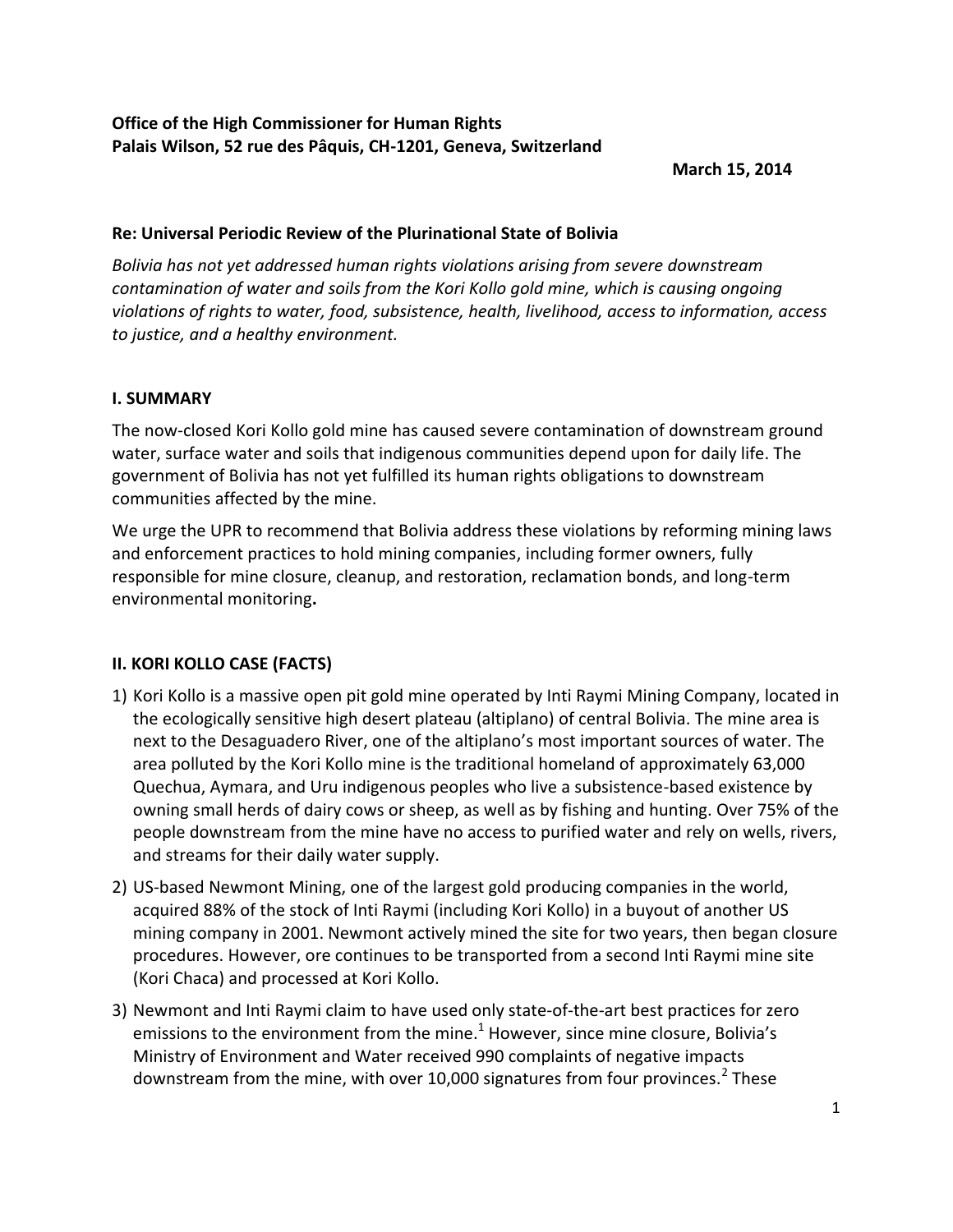**March 15, 2014**

## **Re: Universal Periodic Review of the Plurinational State of Bolivia**

*Bolivia has not yet addressed human rights violations arising from severe downstream contamination of water and soils from the Kori Kollo gold mine, which is causing ongoing violations of rights to water, food, subsistence, health, livelihood, access to information, access to justice, and a healthy environment.*

# **I. SUMMARY**

The now-closed Kori Kollo gold mine has caused severe contamination of downstream ground water, surface water and soils that indigenous communities depend upon for daily life. The government of Bolivia has not yet fulfilled its human rights obligations to downstream communities affected by the mine.

We urge the UPR to recommend that Bolivia address these violations by reforming mining laws and enforcement practices to hold mining companies, including former owners, fully responsible for mine closure, cleanup, and restoration, reclamation bonds, and long-term environmental monitoring**.**

# **II. KORI KOLLO CASE (FACTS)**

- 1) Kori Kollo is a massive open pit gold mine operated by Inti Raymi Mining Company, located in the ecologically sensitive high desert plateau (altiplano) of central Bolivia. The mine area is next to the Desaguadero River, one of the altiplano's most important sources of water. The area polluted by the Kori Kollo mine is the traditional homeland of approximately 63,000 Quechua, Aymara, and Uru indigenous peoples who live a subsistence-based existence by owning small herds of dairy cows or sheep, as well as by fishing and hunting. Over 75% of the people downstream from the mine have no access to purified water and rely on wells, rivers, and streams for their daily water supply.
- 2) US-based Newmont Mining, one of the largest gold producing companies in the world, acquired 88% of the stock of Inti Raymi (including Kori Kollo) in a buyout of another US mining company in 2001. Newmont actively mined the site for two years, then began closure procedures. However, ore continues to be transported from a second Inti Raymi mine site (Kori Chaca) and processed at Kori Kollo.
- 3) Newmont and Inti Raymi claim to have used only state-of-the-art best practices for zero emissions to the environment from the mine. $^1$  However, since mine closure, Bolivia's Ministry of Environment and Water received 990 complaints of negative impacts downstream from the mine, with over 10,000 signatures from four provinces.<sup>2</sup> These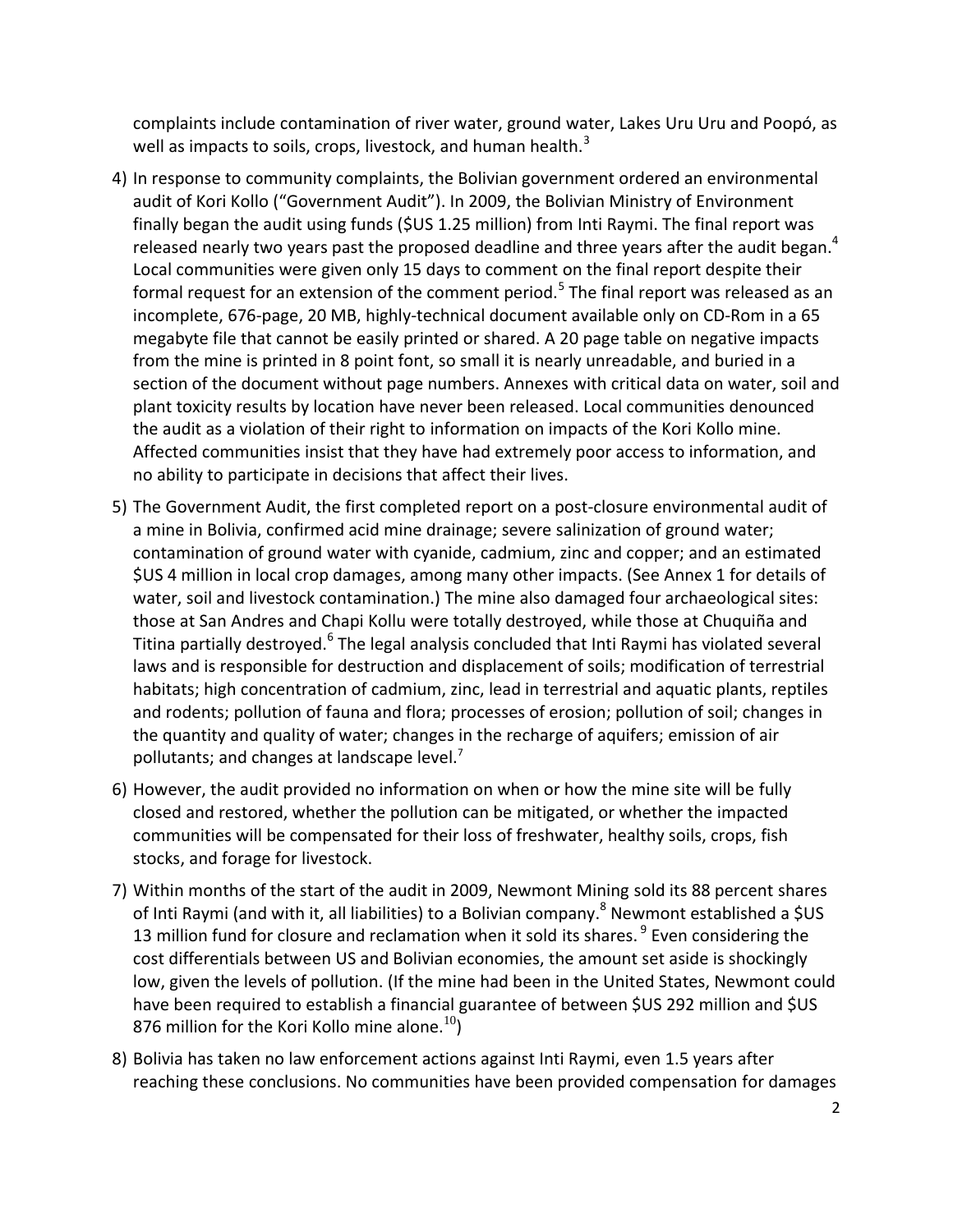complaints include contamination of river water, ground water, Lakes Uru Uru and Poopó, as well as impacts to soils, crops, livestock, and human health. $3$ 

- 4) In response to community complaints, the Bolivian government ordered an environmental audit of Kori Kollo ("Government Audit"). In 2009, the Bolivian Ministry of Environment finally began the audit using funds (\$US 1.25 million) from Inti Raymi. The final report was released nearly two years past the proposed deadline and three years after the audit began.<sup>4</sup> Local communities were given only 15 days to comment on the final report despite their formal request for an extension of the comment period.<sup>5</sup> The final report was released as an incomplete, 676-page, 20 MB, highly-technical document available only on CD-Rom in a 65 megabyte file that cannot be easily printed or shared. A 20 page table on negative impacts from the mine is printed in 8 point font, so small it is nearly unreadable, and buried in a section of the document without page numbers. Annexes with critical data on water, soil and plant toxicity results by location have never been released. Local communities denounced the audit as a violation of their right to information on impacts of the Kori Kollo mine. Affected communities insist that they have had extremely poor access to information, and no ability to participate in decisions that affect their lives.
- 5) The Government Audit, the first completed report on a post-closure environmental audit of a mine in Bolivia, confirmed acid mine drainage; severe salinization of ground water; contamination of ground water with cyanide, cadmium, zinc and copper; and an estimated \$US 4 million in local crop damages, among many other impacts. (See Annex 1 for details of water, soil and livestock contamination.) The mine also damaged four archaeological sites: those at San Andres and Chapi Kollu were totally destroyed, while those at Chuquiña and Titina partially destroyed.<sup>6</sup> The legal analysis concluded that Inti Raymi has violated several laws and is responsible for destruction and displacement of soils; modification of terrestrial habitats; high concentration of cadmium, zinc, lead in terrestrial and aquatic plants, reptiles and rodents; pollution of fauna and flora; processes of erosion; pollution of soil; changes in the quantity and quality of water; changes in the recharge of aquifers; emission of air pollutants; and changes at landscape level. $<sup>7</sup>$ </sup>
- 6) However, the audit provided no information on when or how the mine site will be fully closed and restored, whether the pollution can be mitigated, or whether the impacted communities will be compensated for their loss of freshwater, healthy soils, crops, fish stocks, and forage for livestock.
- 7) Within months of the start of the audit in 2009, Newmont Mining sold its 88 percent shares of Inti Raymi (and with it, all liabilities) to a Bolivian company.<sup>8</sup> Newmont established a \$US 13 million fund for closure and reclamation when it sold its shares. <sup>9</sup> Even considering the cost differentials between US and Bolivian economies, the amount set aside is shockingly low, given the levels of pollution. (If the mine had been in the United States, Newmont could have been required to establish a financial guarantee of between \$US 292 million and \$US 876 million for the Kori Kollo mine alone.<sup>10</sup>)
- 8) Bolivia has taken no law enforcement actions against Inti Raymi, even 1.5 years after reaching these conclusions. No communities have been provided compensation for damages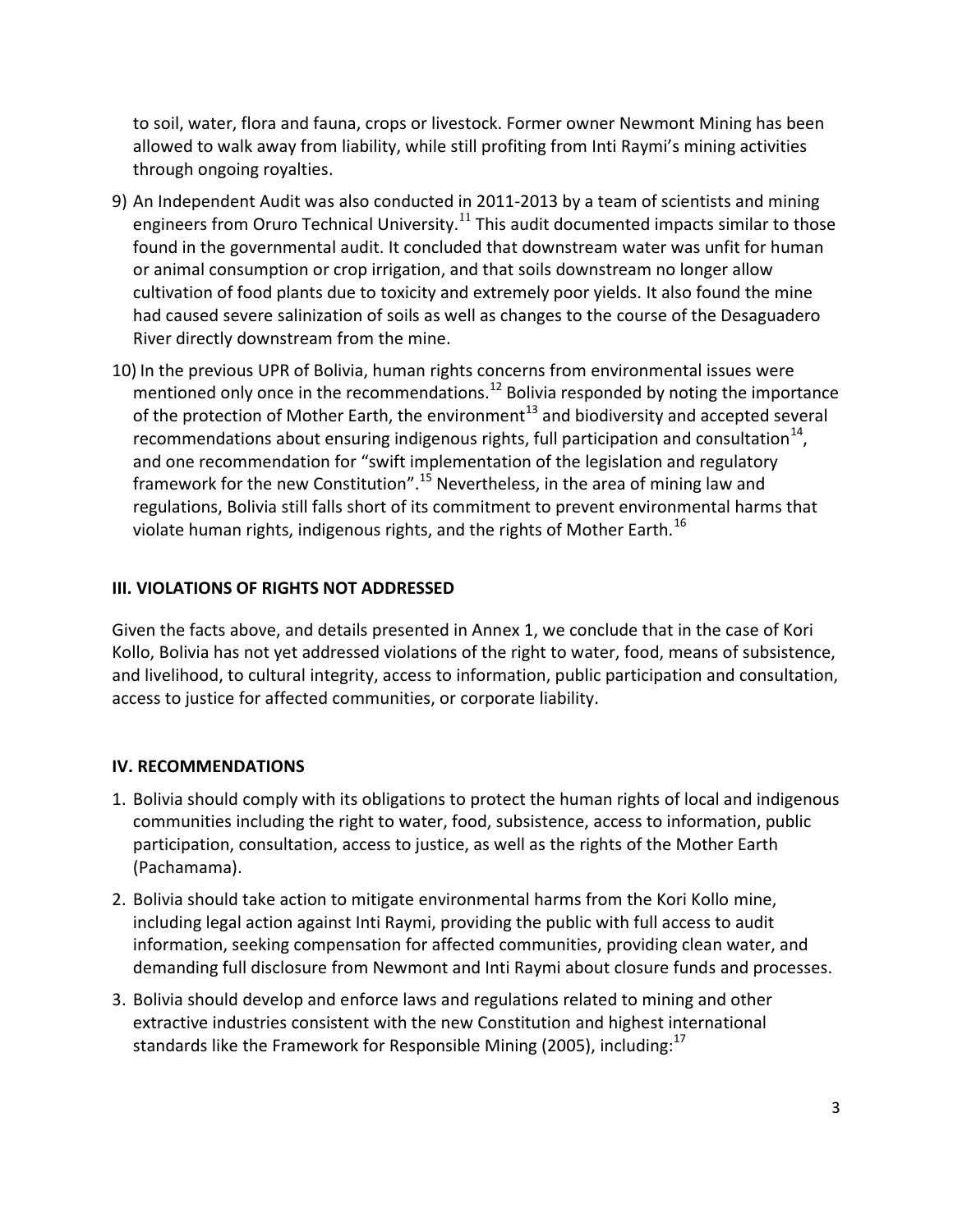to soil, water, flora and fauna, crops or livestock. Former owner Newmont Mining has been allowed to walk away from liability, while still profiting from Inti Raymi's mining activities through ongoing royalties.

- 9) An Independent Audit was also conducted in 2011-2013 by a team of scientists and mining engineers from Oruro Technical University.<sup>11</sup> This audit documented impacts similar to those found in the governmental audit. It concluded that downstream water was unfit for human or animal consumption or crop irrigation, and that soils downstream no longer allow cultivation of food plants due to toxicity and extremely poor yields. It also found the mine had caused severe salinization of soils as well as changes to the course of the Desaguadero River directly downstream from the mine.
- 10) In the previous UPR of Bolivia, human rights concerns from environmental issues were mentioned only once in the recommendations.<sup>12</sup> Bolivia responded by noting the importance of the protection of Mother Earth, the environment<sup>13</sup> and biodiversity and accepted several recommendations about ensuring indigenous rights, full participation and consultation $^{14}$ , and one recommendation for "swift implementation of the legislation and regulatory framework for the new Constitution".<sup>15</sup> Nevertheless, in the area of mining law and regulations, Bolivia still falls short of its commitment to prevent environmental harms that violate human rights, indigenous rights, and the rights of Mother Earth.<sup>16</sup>

## **III. VIOLATIONS OF RIGHTS NOT ADDRESSED**

Given the facts above, and details presented in Annex 1, we conclude that in the case of Kori Kollo, Bolivia has not yet addressed violations of the right to water, food, means of subsistence, and livelihood, to cultural integrity, access to information, public participation and consultation, access to justice for affected communities, or corporate liability.

# **IV. RECOMMENDATIONS**

- 1. Bolivia should comply with its obligations to protect the human rights of local and indigenous communities including the right to water, food, subsistence, access to information, public participation, consultation, access to justice, as well as the rights of the Mother Earth (Pachamama).
- 2. Bolivia should take action to mitigate environmental harms from the Kori Kollo mine, including legal action against Inti Raymi, providing the public with full access to audit information, seeking compensation for affected communities, providing clean water, and demanding full disclosure from Newmont and Inti Raymi about closure funds and processes.
- 3. Bolivia should develop and enforce laws and regulations related to mining and other extractive industries consistent with the new Constitution and highest international standards like the Framework for Responsible Mining (2005), including: $^{17}$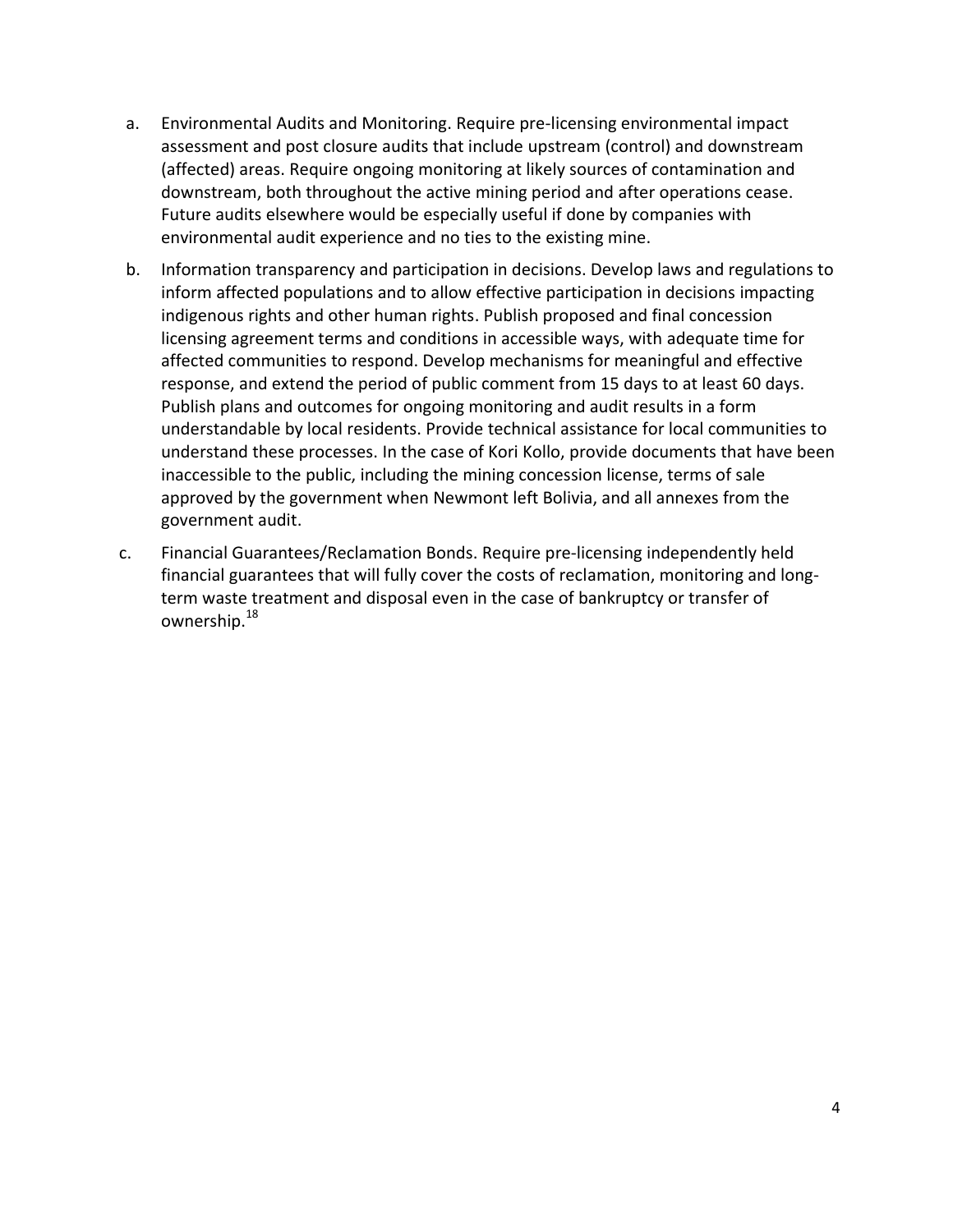- a. Environmental Audits and Monitoring. Require pre-licensing environmental impact assessment and post closure audits that include upstream (control) and downstream (affected) areas. Require ongoing monitoring at likely sources of contamination and downstream, both throughout the active mining period and after operations cease. Future audits elsewhere would be especially useful if done by companies with environmental audit experience and no ties to the existing mine.
- b. Information transparency and participation in decisions. Develop laws and regulations to inform affected populations and to allow effective participation in decisions impacting indigenous rights and other human rights. Publish proposed and final concession licensing agreement terms and conditions in accessible ways, with adequate time for affected communities to respond. Develop mechanisms for meaningful and effective response, and extend the period of public comment from 15 days to at least 60 days. Publish plans and outcomes for ongoing monitoring and audit results in a form understandable by local residents. Provide technical assistance for local communities to understand these processes. In the case of Kori Kollo, provide documents that have been inaccessible to the public, including the mining concession license, terms of sale approved by the government when Newmont left Bolivia, and all annexes from the government audit.
- c. Financial Guarantees/Reclamation Bonds. Require pre-licensing independently held financial guarantees that will fully cover the costs of reclamation, monitoring and longterm waste treatment and disposal even in the case of bankruptcy or transfer of ownership.<sup>18</sup>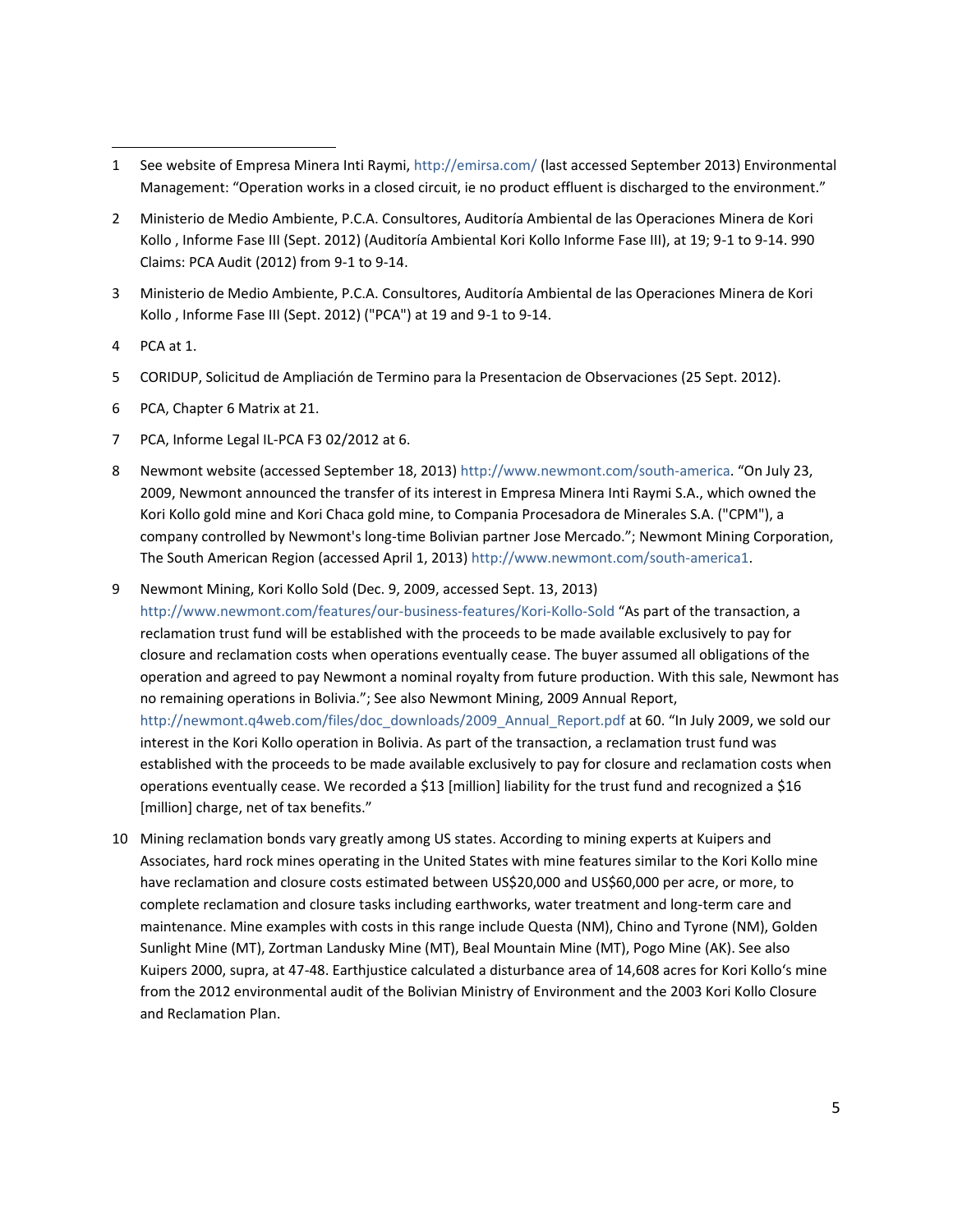- 1 See website of Empresa Minera Inti Raymi,<http://emirsa.com/> (last accessed September 2013) Environmental Management: "Operation works in a closed circuit, ie no product effluent is discharged to the environment."
- 2 Ministerio de Medio Ambiente, P.C.A. Consultores, Auditoría Ambiental de las Operaciones Minera de Kori Kollo , Informe Fase III (Sept. 2012) (Auditoría Ambiental Kori Kollo Informe Fase III), at 19; 9-1 to 9-14. 990 Claims: PCA Audit (2012) from 9-1 to 9-14.
- 3 Ministerio de Medio Ambiente, P.C.A. Consultores, Auditoría Ambiental de las Operaciones Minera de Kori Kollo , Informe Fase III (Sept. 2012) ("PCA") at 19 and 9-1 to 9-14.
- 4 PCA at 1.

 $\overline{a}$ 

- 5 CORIDUP, Solicitud de Ampliación de Termino para la Presentacion de Observaciones (25 Sept. 2012).
- 6 PCA, Chapter 6 Matrix at 21.
- 7 PCA, Informe Legal IL-PCA F3 02/2012 at 6.
- 8 Newmont website (accessed September 18, 2013)<http://www.newmont.com/south-america>. "On July 23, 2009, Newmont announced the transfer of its interest in Empresa Minera Inti Raymi S.A., which owned the Kori Kollo gold mine and Kori Chaca gold mine, to Compania Procesadora de Minerales S.A. ("CPM"), a company controlled by Newmont's long-time Bolivian partner Jose Mercado."; Newmont Mining Corporation, The South American Region (accessed April 1, 2013) [http://www.newmont.com/south-america1.](http://www.newmont.com/south-america1)
- 9 Newmont Mining, Kori Kollo Sold (Dec. 9, 2009, accessed Sept. 13, 2013)

<http://www.newmont.com/features/our-business-features/Kori-Kollo-Sold> "As part of the transaction, a reclamation trust fund will be established with the proceeds to be made available exclusively to pay for closure and reclamation costs when operations eventually cease. The buyer assumed all obligations of the operation and agreed to pay Newmont a nominal royalty from future production. With this sale, Newmont has no remaining operations in Bolivia."; See also Newmont Mining, 2009 Annual Report, [http://newmont.q4web.com/files/doc\\_downloads/2009\\_Annual\\_Report.pdf](http://newmont.q4web.com/files/doc_downloads/2009_Annual_Report.pdf) at 60. "In July 2009, we sold our interest in the Kori Kollo operation in Bolivia. As part of the transaction, a reclamation trust fund was established with the proceeds to be made available exclusively to pay for closure and reclamation costs when operations eventually cease. We recorded a \$13 [million] liability for the trust fund and recognized a \$16 [million] charge, net of tax benefits."

10 Mining reclamation bonds vary greatly among US states. According to mining experts at Kuipers and Associates, hard rock mines operating in the United States with mine features similar to the Kori Kollo mine have reclamation and closure costs estimated between US\$20,000 and US\$60,000 per acre, or more, to complete reclamation and closure tasks including earthworks, water treatment and long-term care and maintenance. Mine examples with costs in this range include Questa (NM), Chino and Tyrone (NM), Golden Sunlight Mine (MT), Zortman Landusky Mine (MT), Beal Mountain Mine (MT), Pogo Mine (AK). See also Kuipers 2000, supra, at 47-48. Earthjustice calculated a disturbance area of 14,608 acres for Kori Kollo's mine from the 2012 environmental audit of the Bolivian Ministry of Environment and the 2003 Kori Kollo Closure and Reclamation Plan.